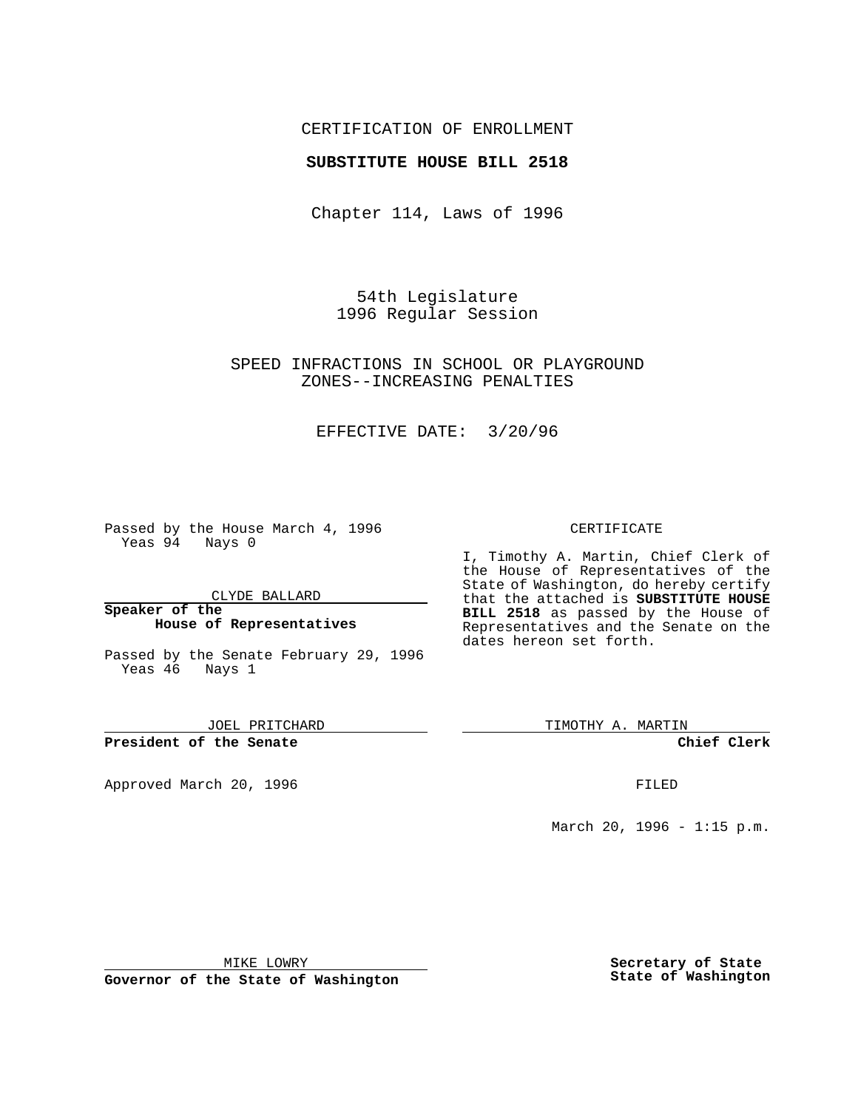## CERTIFICATION OF ENROLLMENT

### **SUBSTITUTE HOUSE BILL 2518**

Chapter 114, Laws of 1996

54th Legislature 1996 Regular Session

## SPEED INFRACTIONS IN SCHOOL OR PLAYGROUND ZONES--INCREASING PENALTIES

## EFFECTIVE DATE: 3/20/96

Passed by the House March 4, 1996 Yeas 94 Nays 0

CLYDE BALLARD

#### **Speaker of the House of Representatives**

Passed by the Senate February 29, 1996 Yeas 46 Nays 1

JOEL PRITCHARD

**President of the Senate**

Approved March 20, 1996 FILED

### CERTIFICATE

I, Timothy A. Martin, Chief Clerk of the House of Representatives of the State of Washington, do hereby certify that the attached is **SUBSTITUTE HOUSE BILL 2518** as passed by the House of Representatives and the Senate on the dates hereon set forth.

TIMOTHY A. MARTIN

**Chief Clerk**

March 20, 1996 - 1:15 p.m.

MIKE LOWRY

**Governor of the State of Washington**

**Secretary of State State of Washington**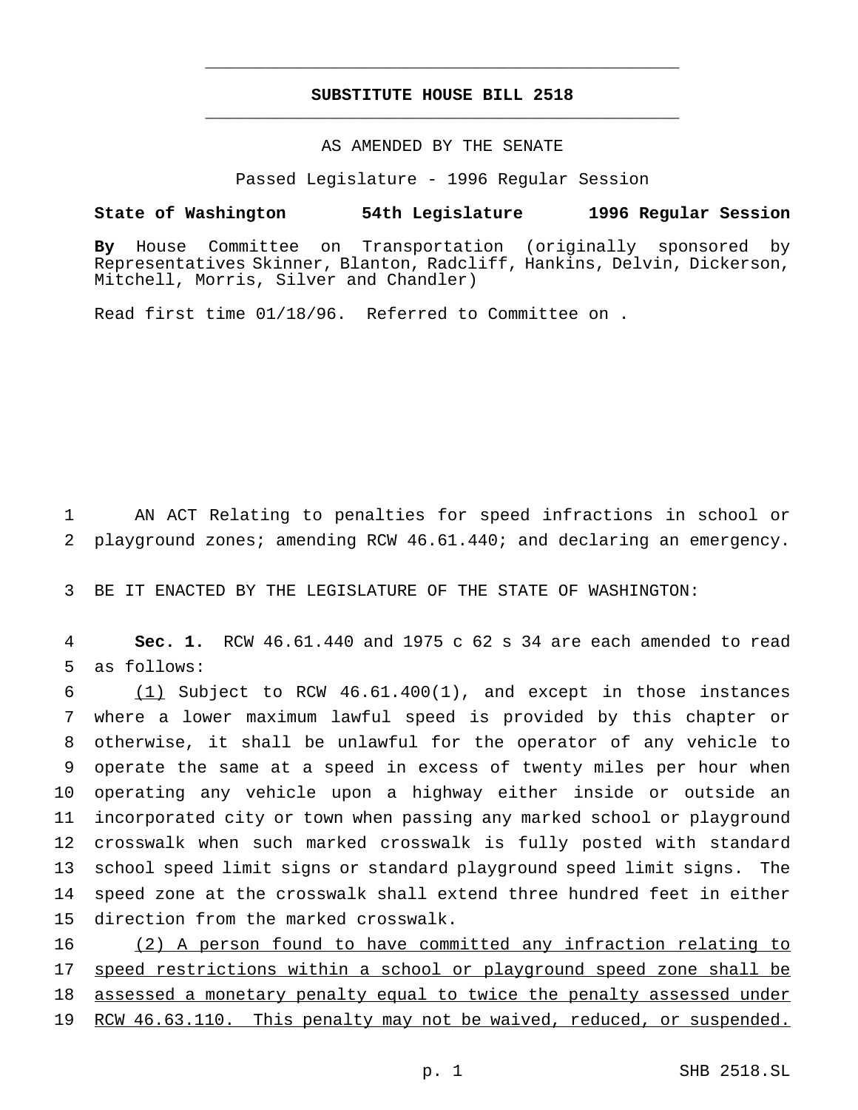## **SUBSTITUTE HOUSE BILL 2518** \_\_\_\_\_\_\_\_\_\_\_\_\_\_\_\_\_\_\_\_\_\_\_\_\_\_\_\_\_\_\_\_\_\_\_\_\_\_\_\_\_\_\_\_\_\_\_

\_\_\_\_\_\_\_\_\_\_\_\_\_\_\_\_\_\_\_\_\_\_\_\_\_\_\_\_\_\_\_\_\_\_\_\_\_\_\_\_\_\_\_\_\_\_\_

# AS AMENDED BY THE SENATE

Passed Legislature - 1996 Regular Session

#### **State of Washington 54th Legislature 1996 Regular Session**

**By** House Committee on Transportation (originally sponsored by Representatives Skinner, Blanton, Radcliff, Hankins, Delvin, Dickerson, Mitchell, Morris, Silver and Chandler)

Read first time 01/18/96. Referred to Committee on .

1 AN ACT Relating to penalties for speed infractions in school or 2 playground zones; amending RCW 46.61.440; and declaring an emergency.

3 BE IT ENACTED BY THE LEGISLATURE OF THE STATE OF WASHINGTON:

4 **Sec. 1.** RCW 46.61.440 and 1975 c 62 s 34 are each amended to read 5 as follows:

 $(1)$  Subject to RCW 46.61.400(1), and except in those instances where a lower maximum lawful speed is provided by this chapter or otherwise, it shall be unlawful for the operator of any vehicle to operate the same at a speed in excess of twenty miles per hour when operating any vehicle upon a highway either inside or outside an incorporated city or town when passing any marked school or playground crosswalk when such marked crosswalk is fully posted with standard school speed limit signs or standard playground speed limit signs. The speed zone at the crosswalk shall extend three hundred feet in either direction from the marked crosswalk.

16 (2) A person found to have committed any infraction relating to 17 speed restrictions within a school or playground speed zone shall be 18 assessed a monetary penalty equal to twice the penalty assessed under 19 RCW 46.63.110. This penalty may not be waived, reduced, or suspended.